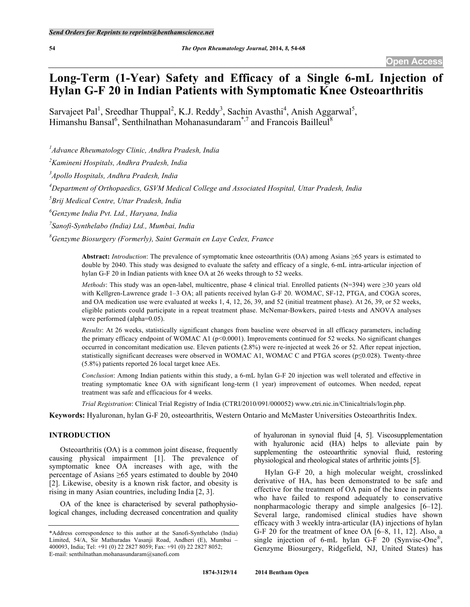# **Long-Term (1-Year) Safety and Efficacy of a Single 6-mL Injection of Hylan G-F 20 in Indian Patients with Symptomatic Knee Osteoarthritis**

Sarvajeet Pal<sup>1</sup>, Sreedhar Thuppal<sup>2</sup>, K.J. Reddy<sup>3</sup>, Sachin Avasthi<sup>4</sup>, Anish Aggarwal<sup>5</sup>, Himanshu Bansal<sup>6</sup>, Senthilnathan Mohanasundaram<sup>\*,7</sup> and Francois Bailleul<sup>8</sup>

*1 Advance Rheumatology Clinic, Andhra Pradesh, India*

*2 Kamineni Hospitals, Andhra Pradesh, India*

*3 Apollo Hospitals, Andhra Pradesh, India*

*4 Department of Orthopaedics, GSVM Medical College and Associated Hospital, Uttar Pradesh, India*

*5 Brij Medical Centre, Uttar Pradesh, India*

*6 Genzyme India Pvt. Ltd., Haryana, India*

*7 Sanofi-Synthelabo (India) Ltd., Mumbai, India*

*8 Genzyme Biosurgery (Formerly), Saint Germain en Laye Cedex, France*

**Abstract:** *Introduction*: The prevalence of symptomatic knee osteoarthritis (OA) among Asians ≥65 years is estimated to double by 2040. This study was designed to evaluate the safety and efficacy of a single, 6-mL intra-articular injection of hylan G-F 20 in Indian patients with knee OA at 26 weeks through to 52 weeks.

*Methods*: This study was an open-label, multicentre, phase 4 clinical trial. Enrolled patients (N=394) were ≥30 years old with Kellgren-Lawrence grade 1–3 OA; all patients received hylan G-F 20. WOMAC, SF-12, PTGA, and COGA scores, and OA medication use were evaluated at weeks 1, 4, 12, 26, 39, and 52 (initial treatment phase). At 26, 39, or 52 weeks, eligible patients could participate in a repeat treatment phase. McNemar-Bowkers, paired t-tests and ANOVA analyses were performed (alpha=0.05).

*Results*: At 26 weeks, statistically significant changes from baseline were observed in all efficacy parameters, including the primary efficacy endpoint of WOMAC A1 (p<0.0001). Improvements continued for 52 weeks. No significant changes occurred in concomitant medication use. Eleven patients (2.8%) were re-injected at week 26 or 52. After repeat injection, statistically significant decreases were observed in WOMAC A1, WOMAC C and PTGA scores (p≤0.028). Twenty-three (5.8%) patients reported 26 local target knee AEs.

*Conclusion*: Among Indian patients within this study, a 6-mL hylan G-F 20 injection was well tolerated and effective in treating symptomatic knee OA with significant long-term (1 year) improvement of outcomes. When needed, repeat treatment was safe and efficacious for 4 weeks.

*Trial Registration*: Clinical Trial Registry of India (CTRI/2010/091/000052) www.ctri.nic.in/Clinicaltrials/login.php.

**Keywords:** Hyaluronan, hylan G-F 20, osteoarthritis, Western Ontario and McMaster Universities Osteoarthritis Index.

#### **INTRODUCTION**

Osteoarthritis (OA) is a common joint disease, frequently causing physical impairment [1]. The prevalence of symptomatic knee OA increases with age, with the percentage of Asians  $\geq 65$  years estimated to double by 2040 [2]. Likewise, obesity is a known risk factor, and obesity is rising in many Asian countries, including India [2, 3].

OA of the knee is characterised by several pathophysiological changes, including decreased concentration and quality of hyaluronan in synovial fluid [4, 5]. Viscosupplementation with hyaluronic acid (HA) helps to alleviate pain by supplementing the osteoarthritic synovial fluid, restoring physiological and rheological states of arthritic joints [5].

Hylan G-F 20, a high molecular weight, crosslinked derivative of HA, has been demonstrated to be safe and effective for the treatment of OA pain of the knee in patients who have failed to respond adequately to conservative nonpharmacologic therapy and simple analgesics [6–12]. Several large, randomised clinical studies have shown efficacy with 3 weekly intra-articular (IA) injections of hylan G-F 20 for the treatment of knee OA [6–8, 11, 12]. Also, a single injection of 6-mL hylan G-F 20 (Synvisc-One®, Genzyme Biosurgery, Ridgefield, NJ, United States) has

<sup>\*</sup>Address correspondence to this author at the Sanofi-Synthelabo (India) Limited, 54/A, Sir Mathuradas Vasanji Road, Andheri (E), Mumbai – 400093, India; Tel: +91 (0) 22 2827 8059; Fax: +91 (0) 22 2827 8052; E-mail: senthilnathan.mohanasundaram@sanofi.com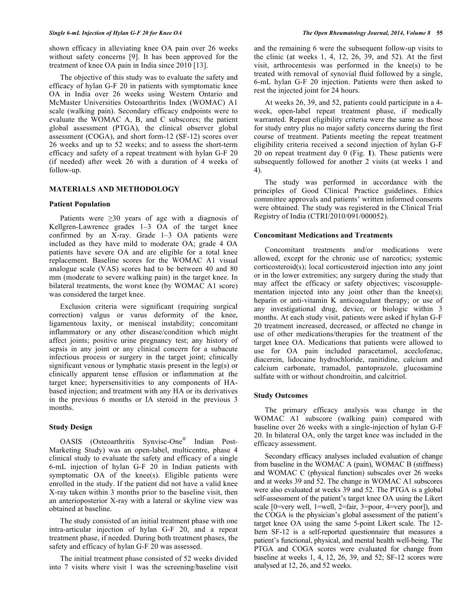shown efficacy in alleviating knee OA pain over 26 weeks without safety concerns [9]. It has been approved for the treatment of knee OA pain in India since 2010 [13].

The objective of this study was to evaluate the safety and efficacy of hylan G-F 20 in patients with symptomatic knee OA in India over 26 weeks using Western Ontario and McMaster Universities Osteoarthritis Index (WOMAC) A1 scale (walking pain). Secondary efficacy endpoints were to evaluate the WOMAC A, B, and C subscores; the patient global assessment (PTGA), the clinical observer global assessment (COGA), and short form-12 (SF-12) scores over 26 weeks and up to 52 weeks; and to assess the short-term efficacy and safety of a repeat treatment with hylan G-F 20 (if needed) after week 26 with a duration of 4 weeks of follow-up.

## **MATERIALS AND METHODOLOGY**

## **Patient Population**

Patients were  $\geq 30$  years of age with a diagnosis of Kellgren-Lawrence grades 1–3 OA of the target knee confirmed by an X-ray. Grade 1–3 OA patients were included as they have mild to moderate OA; grade 4 OA patients have severe OA and are eligible for a total knee replacement. Baseline scores for the WOMAC A1 visual analogue scale (VAS) scores had to be between 40 and 80 mm (moderate to severe walking pain) in the target knee. In bilateral treatments, the worst knee (by WOMAC A1 score) was considered the target knee.

Exclusion criteria were significant (requiring surgical correction) valgus or varus deformity of the knee, ligamentous laxity, or meniscal instability; concomitant inflammatory or any other disease/condition which might affect joints; positive urine pregnancy test; any history of sepsis in any joint or any clinical concern for a subacute infectious process or surgery in the target joint; clinically significant venous or lymphatic stasis present in the leg(s) or clinically apparent tense effusion or inflammation at the target knee; hypersensitivities to any components of HAbased injection; and treatment with any HA or its derivatives in the previous 6 months or IA steroid in the previous 3 months.

## **Study Design**

OASIS (Osteoarthritis Synvisc-One® Indian Post-Marketing Study) was an open-label, multicentre, phase 4 clinical study to evaluate the safety and efficacy of a single 6-mL injection of hylan G-F 20 in Indian patients with symptomatic OA of the knee(s). Eligible patients were enrolled in the study. If the patient did not have a valid knee X-ray taken within 3 months prior to the baseline visit, then an anterioposterior X-ray with a lateral or skyline view was obtained at baseline.

The study consisted of an initial treatment phase with one intra-articular injection of hylan G-F 20, and a repeat treatment phase, if needed. During both treatment phases, the safety and efficacy of hylan G-F 20 was assessed.

The initial treatment phase consisted of 52 weeks divided into 7 visits where visit 1 was the screening/baseline visit and the remaining 6 were the subsequent follow-up visits to the clinic (at weeks 1, 4, 12, 26, 39, and 52). At the first visit, arthrocentesis was performed in the knee(s) to be treated with removal of synovial fluid followed by a single, 6-mL hylan G-F 20 injection. Patients were then asked to rest the injected joint for 24 hours.

At weeks 26, 39, and 52, patients could participate in a 4 week, open-label repeat treatment phase, if medically warranted. Repeat eligibility criteria were the same as those for study entry plus no major safety concerns during the first course of treatment. Patients meeting the repeat treatment eligibility criteria received a second injection of hylan G-F 20 on repeat treatment day 0 (Fig. **1**). These patients were subsequently followed for another 2 visits (at weeks 1 and 4).

The study was performed in accordance with the principles of Good Clinical Practice guidelines. Ethics committee approvals and patients' written informed consents were obtained. The study was registered in the Clinical Trial Registry of India (CTRI/2010/091/000052).

## **Concomitant Medications and Treatments**

Concomitant treatments and/or medications were allowed, except for the chronic use of narcotics; systemic corticosteroid(s); local corticosteroid injection into any joint or in the lower extremities; any surgery during the study that may affect the efficacy or safety objectives; viscosupplementation injected into any joint other than the knee(s); heparin or anti-vitamin K anticoagulant therapy; or use of any investigational drug, device, or biologic within 3 months. At each study visit, patients were asked if hylan G-F 20 treatment increased, decreased, or affected no change in use of other medications/therapies for the treatment of the target knee OA. Medications that patients were allowed to use for OA pain included paracetamol, aceclofenac, diacerein, lidocaine hydrochloride, ranitidine, calcium and calcium carbonate, tramadol, pantoprazole, glucosamine sulfate with or without chondroitin, and calcitriol.

#### **Study Outcomes**

The primary efficacy analysis was change in the WOMAC A1 subscore (walking pain) compared with baseline over 26 weeks with a single-injection of hylan G-F 20. In bilateral OA, only the target knee was included in the efficacy assessment.

Secondary efficacy analyses included evaluation of change from baseline in the WOMAC A (pain), WOMAC B (stiffness) and WOMAC C (physical function) subscales over 26 weeks and at weeks 39 and 52. The change in WOMAC A1 subscores were also evaluated at weeks 39 and 52. The PTGA is a global self-assessment of the patient's target knee OA using the Likert scale [0=very well, 1=well, 2=fair, 3=poor, 4=very poor]), and the COGA is the physician's global assessment of the patient's target knee OA using the same 5-point Likert scale. The 12- Item SF-12 is a self-reported questionnaire that measures a patient's functional, physical, and mental health well-being. The PTGA and COGA scores were evaluated for change from baseline at weeks 1, 4, 12, 26, 39, and 52; SF-12 scores were analysed at 12, 26, and 52 weeks.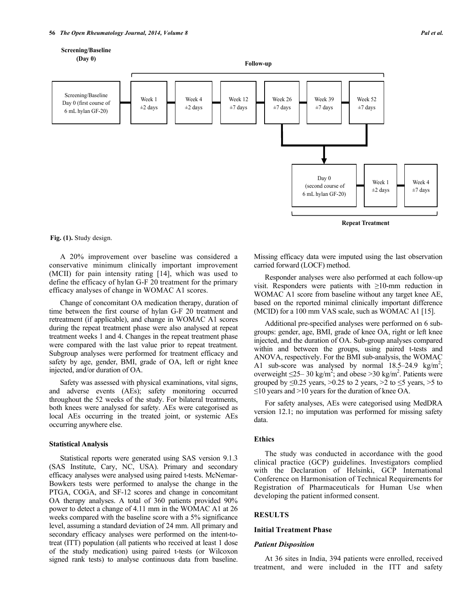

**(Day 0)**

Screening/Baseline Day 0 (first course of 6 mL hylan GF-20)



 $±7$  days

Week 4  $±2$  days



**Repeat Treatment**

**Fig. (1).** Study design.

A 20% improvement over baseline was considered a conservative minimum clinically important improvement (MCII) for pain intensity rating [14], which was used to define the efficacy of hylan G-F 20 treatment for the primary efficacy analyses of change in WOMAC A1 scores.

Week 1  $\pm 2$  days

Change of concomitant OA medication therapy, duration of time between the first course of hylan G-F 20 treatment and retreatment (if applicable), and change in WOMAC A1 scores during the repeat treatment phase were also analysed at repeat treatment weeks 1 and 4. Changes in the repeat treatment phase were compared with the last value prior to repeat treatment. Subgroup analyses were performed for treatment efficacy and safety by age, gender, BMI, grade of OA, left or right knee injected, and/or duration of OA.

Safety was assessed with physical examinations, vital signs, and adverse events (AEs); safety monitoring occurred throughout the 52 weeks of the study. For bilateral treatments, both knees were analysed for safety. AEs were categorised as local AEs occurring in the treated joint, or systemic AEs occurring anywhere else.

#### **Statistical Analysis**

Statistical reports were generated using SAS version 9.1.3 (SAS Institute, Cary, NC, USA). Primary and secondary efficacy analyses were analysed using paired t-tests. McNemar-Bowkers tests were performed to analyse the change in the PTGA, COGA, and SF-12 scores and change in concomitant OA therapy analyses. A total of 360 patients provided 90% power to detect a change of 4.11 mm in the WOMAC A1 at 26 weeks compared with the baseline score with a 5% significance level, assuming a standard deviation of 24 mm. All primary and secondary efficacy analyses were performed on the intent-totreat (ITT) population (all patients who received at least 1 dose of the study medication) using paired t-tests (or Wilcoxon signed rank tests) to analyse continuous data from baseline. Missing efficacy data were imputed using the last observation carried forward (LOCF) method.

Responder analyses were also performed at each follow-up visit. Responders were patients with ≥10-mm reduction in WOMAC A1 score from baseline without any target knee AE, based on the reported minimal clinically important difference (MCID) for a 100 mm VAS scale, such as WOMAC A1 [15].

Additional pre-specified analyses were performed on 6 subgroups: gender, age, BMI, grade of knee OA, right or left knee injected, and the duration of OA. Sub-group analyses compared within and between the groups, using paired t-tests and ANOVA, respectively. For the BMI sub-analysis, the WOMAC A1 sub-score was analysed by normal  $18.5-24.9$  kg/m<sup>2</sup>; overweight  $\leq$ 25–30 kg/m<sup>2</sup>; and obese >30 kg/m<sup>2</sup>. Patients were grouped by  $\leq 0.25$  years,  $>0.25$  to 2 years,  $>2$  to  $\leq 5$  years,  $>5$  to  $\leq$ 10 years and >10 years for the duration of knee OA.

For safety analyses, AEs were categorised using MedDRA version 12.1; no imputation was performed for missing safety data.

#### **Ethics**

The study was conducted in accordance with the good clinical practice (GCP) guidelines. Investigators complied with the Declaration of Helsinki, GCP International Conference on Harmonisation of Technical Requirements for Registration of Pharmaceuticals for Human Use when developing the patient informed consent.

#### **RESULTS**

#### **Initial Treatment Phase**

#### *Patient Disposition*

At 36 sites in India, 394 patients were enrolled, received treatment, and were included in the ITT and safety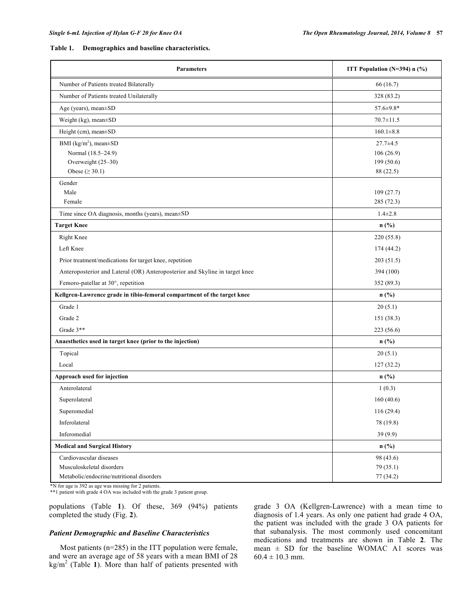#### **Table 1. Demographics and baseline characteristics.**

| <b>Parameters</b>                                                           | ITT Population ( $N=394$ ) n (%) |
|-----------------------------------------------------------------------------|----------------------------------|
| Number of Patients treated Bilaterally                                      | 66 (16.7)                        |
| Number of Patients treated Unilaterally                                     | 328 (83.2)                       |
| Age (years), mean±SD                                                        | $57.6 \pm 9.8*$                  |
| Weight (kg), mean±SD                                                        | $70.7 \pm 11.5$                  |
| Height (cm), mean±SD                                                        | $160.1 \pm 8.8$                  |
| BMI ( $\text{kg/m}^2$ ), mean $\pm$ SD                                      | $27.7 \pm 4.5$                   |
| Normal (18.5-24.9)                                                          | 106(26.9)                        |
| Overweight (25-30)                                                          | 199 (50.6)                       |
| Obese ( $\geq 30.1$ )                                                       | 88 (22.5)                        |
| Gender                                                                      |                                  |
| Male                                                                        | 109(27.7)                        |
| Female                                                                      | 285 (72.3)                       |
| Time since OA diagnosis, months (years), mean±SD                            | $1.4 \pm 2.8$                    |
| <b>Target Knee</b>                                                          | $n$ (%)                          |
| <b>Right Knee</b>                                                           | 220 (55.8)                       |
| Left Knee                                                                   | 174 (44.2)                       |
| Prior treatment/medications for target knee, repetition                     | 203(51.5)                        |
| Anteroposterior and Lateral (OR) Anteroposterior and Skyline in target knee | 394 (100)                        |
| Femoro-patellar at 30°, repetition                                          | 352 (89.3)                       |
| Kellgren-Lawrence grade in tibio-femoral compartment of the target knee     | $n$ (%)                          |
| Grade 1                                                                     | 20(5.1)                          |
| Grade 2                                                                     | 151 (38.3)                       |
| Grade 3**                                                                   | 223 (56.6)                       |
| Anaesthetics used in target knee (prior to the injection)                   | $n$ (%)                          |
| Topical                                                                     | 20(5.1)                          |
| Local                                                                       | 127(32.2)                        |
| Approach used for injection                                                 | $n$ (%)                          |
| Anterolateral                                                               | 1(0.3)                           |
| Superolateral                                                               | 160(40.6)                        |
| Superomedial                                                                | 116(29.4)                        |
| Inferolateral                                                               | 78 (19.8)                        |
| Inferomedial                                                                | 39 (9.9)                         |
| <b>Medical and Surgical History</b>                                         | $n$ (%)                          |
| Cardiovascular diseases                                                     | 98 (43.6)                        |
| Musculoskeletal disorders                                                   | 79 (35.1)                        |
| Metabolic/endocrine/nutritional disorders                                   | 77 (34.2)                        |

\*N for age is 392 as age was missing for 2 patients.

**\*\***1 patient with grade 4 OA was included with the grade 3 patient group.

populations (Table **1**). Of these, 369 (94%) patients completed the study (Fig. **2**).

#### *Patient Demographic and Baseline Characteristics*

Most patients (n=285) in the ITT population were female, and were an average age of 58 years with a mean BMI of 28 kg/m<sup>2</sup> (Table **1**). More than half of patients presented with grade 3 OA (Kellgren-Lawrence) with a mean time to diagnosis of 1.4 years. As only one patient had grade 4 OA, the patient was included with the grade 3 OA patients for that subanalysis. The most commonly used concomitant medications and treatments are shown in Table **2**. The mean  $\pm$  SD for the baseline WOMAC A1 scores was  $60.4 \pm 10.3$  mm.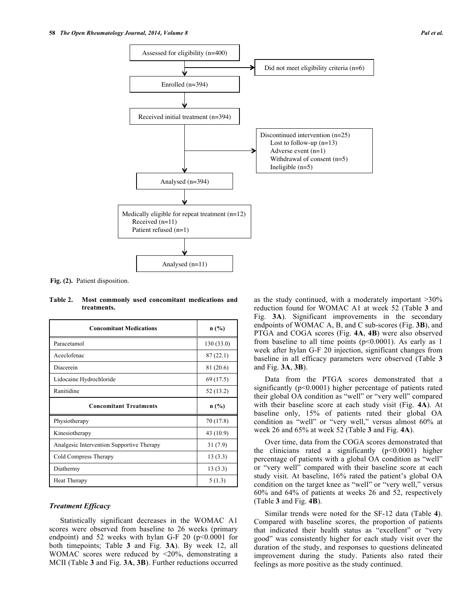

**Fig. (2).** Patient disposition.

**Table 2. Most commonly used concomitant medications and treatments.**

| <b>Concomitant Medications</b>            | n(%)      |  |
|-------------------------------------------|-----------|--|
| Paracetamol                               | 130(33.0) |  |
| Aceclofenac                               | 87(22.1)  |  |
| Diacerein                                 | 81 (20.6) |  |
| Lidocaine Hydrochloride                   | 69 (17.5) |  |
| Ranitidine                                | 52 (13.2) |  |
| <b>Concomitant Treatments</b>             | n(%)      |  |
| Physiotherapy                             | 70 (17.8) |  |
| Kinesiotherapy                            | 43 (10.9) |  |
| Analgesic Intervention Supportive Therapy | 31(7.9)   |  |
| Cold Compress Therapy                     | 13(3.3)   |  |
| Diathermy                                 | 13(3.3)   |  |
| Heat Therapy                              | 5(1.3)    |  |

## *Treatment Efficacy*

Statistically significant decreases in the WOMAC A1 scores were observed from baseline to 26 weeks (primary endpoint) and 52 weeks with hylan G-F 20 ( $p<0.0001$  for both timepoints; Table **3** and Fig. **3A**). By week 12, all WOMAC scores were reduced by <20%, demonstrating a MCII (Table **3** and Fig. **3A**, **3B**). Further reductions occurred as the study continued, with a moderately important >30% reduction found for WOMAC A1 at week 52 (Table **3** and Fig. **3A**). Significant improvements in the secondary endpoints of WOMAC A, B, and C sub-scores (Fig. **3B**), and PTGA and COGA scores (Fig. **4A**, **4B**) were also observed from baseline to all time points  $(p<0.0001)$ . As early as 1 week after hylan G-F 20 injection, significant changes from baseline in all efficacy parameters were observed (Table **3** and Fig. **3A**, **3B**).

Data from the PTGA scores demonstrated that a significantly ( $p<0.0001$ ) higher percentage of patients rated their global OA condition as "well" or "very well" compared with their baseline score at each study visit (Fig. **4A**). At baseline only, 15% of patients rated their global OA condition as "well" or "very well," versus almost 60% at week 26 and 65% at week 52 (Table **3** and Fig. **4A**).

Over time, data from the COGA scores demonstrated that the clinicians rated a significantly  $(p<0.0001)$  higher percentage of patients with a global OA condition as "well" or "very well" compared with their baseline score at each study visit. At baseline, 16% rated the patient's global OA condition on the target knee as "well" or "very well," versus 60% and 64% of patients at weeks 26 and 52, respectively (Table **3** and Fig. **4B**).

Similar trends were noted for the SF-12 data (Table **4**). Compared with baseline scores, the proportion of patients that indicated their health status as "excellent" or "very good" was consistently higher for each study visit over the duration of the study, and responses to questions delineated improvement during the study. Patients also rated their feelings as more positive as the study continued.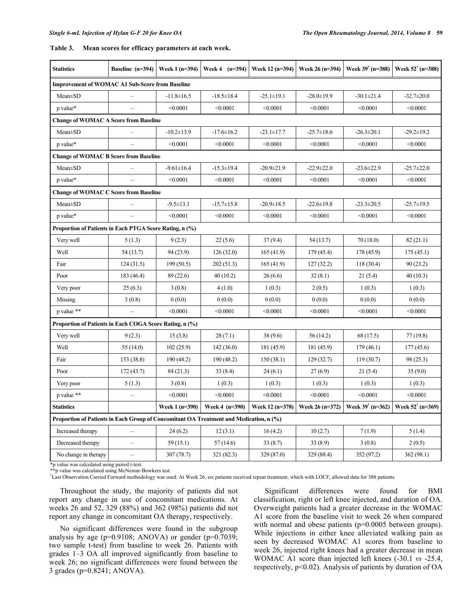| Table 3. |  | Mean scores for efficacy parameters at each week. |  |
|----------|--|---------------------------------------------------|--|
|          |  |                                                   |  |

| <b>Statistics</b>                                                                      | Baseline (n=394)         | Week 1 (n=394)   | Week 4 $(n=394)$ | Week 12 (n=394)  | Week 26 (n=394)  | Week $39^{\dagger}$ (n=388)                               | Week $52^{\dagger}$ (n=388) |
|----------------------------------------------------------------------------------------|--------------------------|------------------|------------------|------------------|------------------|-----------------------------------------------------------|-----------------------------|
| <b>Improvement of WOMAC A1 Sub-Score from Baseline</b>                                 |                          |                  |                  |                  |                  |                                                           |                             |
| $Mean \pm SD$                                                                          |                          | $-11.8 \pm 16.5$ | $-18.5 \pm 18.4$ | $-25.1 \pm 19.1$ | $-28.0 \pm 19.9$ | $-30.1 \pm 21.4$                                          | $-32.7 \pm 20.0$            |
| p value*                                                                               | $\overline{\phantom{0}}$ | < 0.0001         | < 0.0001         | < 0.0001         | < 0.0001         | < 0.0001                                                  | < 0.0001                    |
| <b>Change of WOMAC A Score from Baseline</b>                                           |                          |                  |                  |                  |                  |                                                           |                             |
| Mean±SD                                                                                |                          | $-10.2 \pm 13.9$ | $-17.6 \pm 16.2$ | $-23.1 \pm 17.7$ | $-25.7 \pm 18.6$ | $-26.3 \pm 20.1$                                          | $-29.2 \pm 19.2$            |
| p value*                                                                               |                          | < 0.0001         | < 0.0001         | < 0.0001         | < 0.0001         | < 0.0001                                                  | < 0.0001                    |
| <b>Change of WOMAC B Score from Baseline</b>                                           |                          |                  |                  |                  |                  |                                                           |                             |
| $Mean \pm SD$                                                                          |                          | $-9.61 \pm 16.4$ | $-15.3 \pm 19.4$ | $-20.9 \pm 21.9$ | $-22.9 \pm 22.0$ | $-23.6 \pm 22.9$                                          | $-25.7 \pm 22.0$            |
| p value*                                                                               |                          | < 0.0001         | < 0.0001         | < 0.0001         | < 0.0001         | < 0.0001                                                  | < 0.0001                    |
| <b>Change of WOMAC C Score from Baseline</b>                                           |                          |                  |                  |                  |                  |                                                           |                             |
| Mean±SD                                                                                |                          | $-9.5 \pm 13.1$  | $-15.7 \pm 15.8$ | $-20.9 \pm 18.5$ | $-22.6 \pm 19.8$ | $-23.3 \pm 20.5$                                          | $-25.7 \pm 19.5$            |
| p value*                                                                               |                          | < 0.0001         | < 0.0001         | < 0.0001         | < 0.0001         | < 0.0001                                                  | < 0.0001                    |
| Proportion of Patients in Each PTGA Score Rating, n (%)                                |                          |                  |                  |                  |                  |                                                           |                             |
| Very well                                                                              | 5(1.3)                   | 9(2.3)           | 22(5.6)          | 37(9.4)          | 54 (13.7)        | 70(18.0)                                                  | 82(21.1)                    |
| Well                                                                                   | 54(13.7)                 | 94 (23.9)        | 126(32.0)        | 165(41.9)        | 179 (45.4)       | 178 (45.9)                                                | 175(45.1)                   |
| Fair                                                                                   | 124(31.5)                | 199(50.5)        | 202(51.3)        | 165(41.9)        | 127(32.2)        | 118(30.4)                                                 | 90(23.2)                    |
| Poor                                                                                   | 183 (46.4)               | 89 (22.6)        | 40(10.2)         | 26(6.6)          | 32(8.1)          | 21(5.4)                                                   | 40(10.3)                    |
| Very poor                                                                              | 25(6.3)                  | 3(0.8)           | 4(1.0)           | 1(0.3)           | 2(0.5)           | 1(0.3)                                                    | 1(0.3)                      |
| Missing                                                                                | 3(0.8)                   | 0(0.0)           | 0(0.0)           | 0(0.0)           | 0(0.0)           | 0(0.0)                                                    | 0(0.0)                      |
| p value **                                                                             |                          | < 0.0001         | < 0.0001         | < 0.0001         | < 0.0001         | < 0.0001                                                  | < 0.0001                    |
| Proportion of Patients in Each COGA Score Rating, n (%)                                |                          |                  |                  |                  |                  |                                                           |                             |
| Very well                                                                              | 9(2.3)                   | 15(3.8)          | 28(7.1)          | 38 (9.6)         | 56(14.2)         | 68 (17.5)                                                 | 77 (19.8)                   |
| Well                                                                                   | 55(14.0)                 | 102(25.9)        | 142(36.0)        | 181 (45.9)       | 181 (45.9)       | 179(46.1)                                                 | 177(45.6)                   |
| Fair                                                                                   | 153 (38.8)               | 190(48.2)        | 190 (48.2)       | 150(38.1)        | 129(32.7)        | 119(30.7)                                                 | 98 (25.3)                   |
| Poor                                                                                   | 172(43.7)                | 84 (21.3)        | 33(8.4)          | 24(6.1)          | 27(6.9)          | 21(5.4)                                                   | 35(9.0)                     |
| Very poor                                                                              | 5(1.3)                   | 3(0.8)           | 1(0.3)           | 1(0.3)           | 1(0.3)           | 1(0.3)                                                    | 1(0.3)                      |
| p value **                                                                             |                          | < 0.0001         | < 0.0001         | < 0.0001         | < 0.0001         | < 0.0001                                                  | < 0.0001                    |
| <b>Statistics</b>                                                                      |                          | Week 1 (n=390)   | Week 4 (n=390)   | Week 12 (n=378)  | Week 26 (n=372)  | Week $39^{\dagger}$ (n=362)   Week $52^{\dagger}$ (n=369) |                             |
| Proportion of Patients in Each Group of Concomitant OA Treatment and Medication, n (%) |                          |                  |                  |                  |                  |                                                           |                             |
| Increased therapy                                                                      |                          | 24(6.2)          | 12(3.1)          | 16(4.2)          | 10(2.7)          | 7(1.9)                                                    | 5(1.4)                      |
| Decreased therapy                                                                      | -                        | 59(15.1)         | 57(14.6)         | 33(8.7)          | 33(8.9)          | 3(0.8)                                                    | 2(0.5)                      |
| No change in therapy                                                                   | -                        | 307(78.7)        | 321 (82.3)       | 329 (87.0)       | 329 (88.4)       | 352 (97.2)                                                | 362(98.1)                   |

\*p value was calculated using paired t-test. \*\*p value was calculated using McNemar-Bowkers test.

† Last Observation Carried Forward methodology was used. At Week 26, six patients received repeat treatment, which with LOCF, allowed data for 388 patients.

Throughout the study, the majority of patients did not report any change in use of concomitant medications. At weeks 26 and 52, 329 (88%) and 362 (98%) patients did not report any change in concomitant OA therapy, respectively.

No significant differences were found in the subgroup analysis by age ( $p=0.9108$ ; ANOVA) or gender ( $p=0.7039$ ; two sample t-test) from baseline to week 26. Patients with grades 1–3 OA all improved significantly from baseline to week 26; no significant differences were found between the 3 grades (p=0.8241; ANOVA).

Significant differences were found for BMI classification, right or left knee injected, and duration of OA. Overweight patients had a greater decrease in the WOMAC A1 score from the baseline visit to week 26 when compared with normal and obese patients (p=0.0005 between groups). While injections in either knee alleviated walking pain as seen by decreased WOMAC A1 scores from baseline to week 26, injected right knees had a greater decrease in mean WOMAC A1 score than injected left knees (-30.1 *vs* -25.4, respectively, p<0.02). Analysis of patients by duration of OA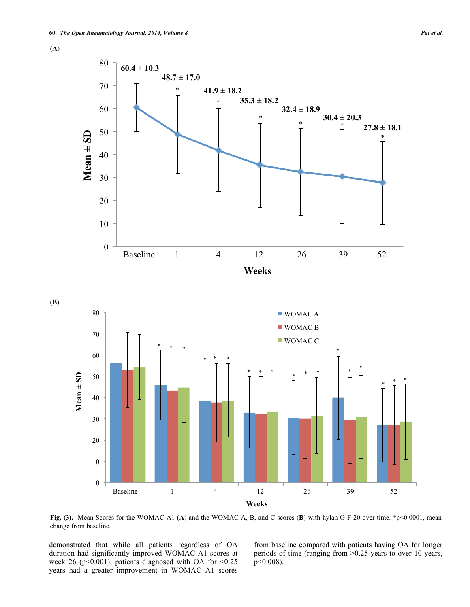(**A**)

(**B**)



**Fig. (3).** Mean Scores for the WOMAC A1 (A) and the WOMAC A, B, and C scores (B) with hylan G-F 20 over time. \*p<0.0001, mean change from baseline.

**Weeks** 

demonstrated that while all patients regardless of OA duration had significantly improved WOMAC A1 scores at week 26 (p<0.001), patients diagnosed with OA for  $\leq 0.25$ years had a greater improvement in WOMAC A1 scores

from baseline compared with patients having OA for longer periods of time (ranging from >0.25 years to over 10 years, p<0.008).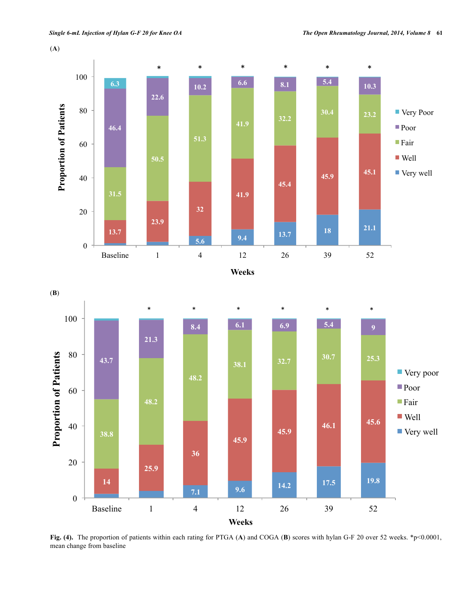



**Fig. (4).** The proportion of patients within each rating for PTGA (A) and COGA (B) scores with hylan G-F 20 over 52 weeks. \*p<0.0001, mean change from baseline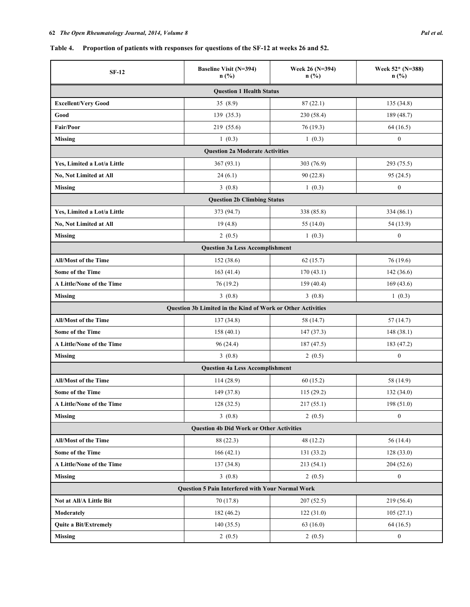## **Table 4. Proportion of patients with responses for questions of the SF-12 at weeks 26 and 52.**

| $SF-12$                                                 | <b>Baseline Visit (N=394)</b><br>$n$ (%)                    | Week 26 (N=394)<br>$n$ (%) | Week 52* (N=388)<br>$n$ (%) |  |  |
|---------------------------------------------------------|-------------------------------------------------------------|----------------------------|-----------------------------|--|--|
|                                                         | <b>Question 1 Health Status</b>                             |                            |                             |  |  |
| <b>Excellent/Very Good</b>                              | 35(8.9)                                                     | 87(22.1)                   | 135 (34.8)                  |  |  |
| Good                                                    | 139 (35.3)                                                  | 230 (58.4)                 | 189 (48.7)                  |  |  |
| <b>Fair/Poor</b>                                        | 219 (55.6)                                                  | 76 (19.3)                  | 64 (16.5)                   |  |  |
| Missing                                                 | 1(0.3)<br>1(0.3)                                            |                            | $\boldsymbol{0}$            |  |  |
|                                                         | <b>Question 2a Moderate Activities</b>                      |                            |                             |  |  |
| Yes, Limited a Lot/a Little                             | 367 (93.1)                                                  | 303 (76.9)                 | 293 (75.5)                  |  |  |
| <b>No, Not Limited at All</b>                           | 24(6.1)                                                     | 90(22.8)                   | 95(24.5)                    |  |  |
| <b>Missing</b>                                          | 3(0.8)                                                      | 1(0.3)                     | $\boldsymbol{0}$            |  |  |
|                                                         | <b>Question 2b Climbing Status</b>                          |                            |                             |  |  |
| Yes, Limited a Lot/a Little                             | 373 (94.7)                                                  | 338 (85.8)                 | 334 (86.1)                  |  |  |
| <b>No, Not Limited at All</b>                           | 19(4.8)                                                     | 55 $(14.0)$                | 54 (13.9)                   |  |  |
| <b>Missing</b>                                          | 2(0.5)                                                      | 1(0.3)                     | $\boldsymbol{0}$            |  |  |
|                                                         | <b>Question 3a Less Accomplishment</b>                      |                            |                             |  |  |
| <b>All/Most of the Time</b>                             | 152(38.6)                                                   | 62(15.7)                   | 76 (19.6)                   |  |  |
| <b>Some of the Time</b>                                 | 163(41.4)                                                   | 170(43.1)                  | 142 (36.6)                  |  |  |
| A Little/None of the Time                               | 76(19.2)                                                    | 159(40.4)                  | 169(43.6)                   |  |  |
| <b>Missing</b>                                          | 3(0.8)                                                      | 3(0.8)                     | 1(0.3)                      |  |  |
|                                                         | Question 3b Limited in the Kind of Work or Other Activities |                            |                             |  |  |
| <b>All/Most of the Time</b>                             | 137 (34.8)                                                  | 58 (14.7)                  | 57(14.7)                    |  |  |
| <b>Some of the Time</b>                                 | 158(40.1)                                                   | 147(37.3)                  | 148(38.1)                   |  |  |
| A Little/None of the Time                               | 96 (24.4)                                                   | 187 (47.5)                 | 183 (47.2)                  |  |  |
| <b>Missing</b>                                          | 3(0.8)                                                      | 2(0.5)                     | $\boldsymbol{0}$            |  |  |
|                                                         | <b>Question 4a Less Accomplishment</b>                      |                            |                             |  |  |
| <b>All/Most of the Time</b>                             | 114(28.9)                                                   | 60(15.2)                   | 58 (14.9)                   |  |  |
| <b>Some of the Time</b>                                 | 149 (37.8)                                                  | 115 (29.2)                 | 132 (34.0)                  |  |  |
| A Little/None of the Time                               | 128 (32.5)                                                  | 217(55.1)                  | 198 (51.0)                  |  |  |
| <b>Missing</b>                                          | 3(0.8)                                                      | 2(0.5)                     | $\boldsymbol{0}$            |  |  |
| <b>Question 4b Did Work or Other Activities</b>         |                                                             |                            |                             |  |  |
| <b>All/Most of the Time</b>                             | 88 (22.3)                                                   | 48 (12.2)                  | 56 (14.4)                   |  |  |
| Some of the Time                                        | 166(42.1)                                                   | 131 (33.2)                 | 128(33.0)                   |  |  |
| A Little/None of the Time                               | 137 (34.8)                                                  | 213(54.1)                  | 204 (52.6)                  |  |  |
| <b>Missing</b>                                          | 3(0.8)                                                      | 2(0.5)                     | $\boldsymbol{0}$            |  |  |
| <b>Question 5 Pain Interfered with Your Normal Work</b> |                                                             |                            |                             |  |  |
| Not at All/A Little Bit                                 | 70 (17.8)                                                   | 207(52.5)                  | 219 (56.4)                  |  |  |
| Moderately                                              | 182 (46.2)                                                  | 122(31.0)                  | 105(27.1)                   |  |  |
| Quite a Bit/Extremely                                   | 140(35.5)                                                   | 63(16.0)                   | 64(16.5)                    |  |  |
| <b>Missing</b>                                          | 2(0.5)                                                      | 2(0.5)                     | $\boldsymbol{0}$            |  |  |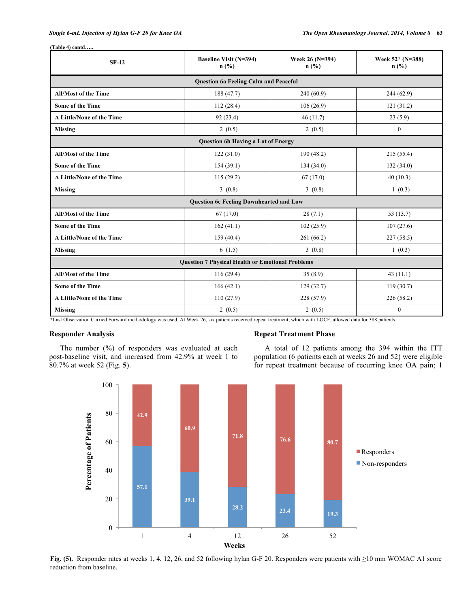| $SF-12$                                                 | <b>Baseline Visit (N=394)</b><br>$n$ (%)     | Week 26 (N=394)<br>n(%) | Week 52* (N=388)<br>$n$ (%) |  |  |
|---------------------------------------------------------|----------------------------------------------|-------------------------|-----------------------------|--|--|
|                                                         | <b>Question 6a Feeling Calm and Peaceful</b> |                         |                             |  |  |
| <b>All/Most of the Time</b>                             | 188 (47.7)                                   | 240(60.9)               | 244 (62.9)                  |  |  |
| <b>Some of the Time</b>                                 | 112(28.4)                                    | 106(26.9)               | 121(31.2)                   |  |  |
| A Little/None of the Time                               | 92(23.4)                                     | 46(11.7)                | 23(5.9)                     |  |  |
| <b>Missing</b>                                          | 2(0.5)                                       | 2(0.5)                  | $\boldsymbol{0}$            |  |  |
| <b>Question 6b Having a Lot of Energy</b>               |                                              |                         |                             |  |  |
| <b>All/Most of the Time</b>                             | 122(31.0)                                    | 190(48.2)               | 215(55.4)                   |  |  |
| <b>Some of the Time</b>                                 | 154(39.1)                                    | 134(34.0)               | 132(34.0)                   |  |  |
| A Little/None of the Time                               | 115(29.2)                                    | 67(17.0)                | 40(10.3)                    |  |  |
| <b>Missing</b>                                          | 3(0.8)                                       | 3(0.8)                  | 1(0.3)                      |  |  |
| <b>Question 6c Feeling Downhearted and Low</b>          |                                              |                         |                             |  |  |
| <b>All/Most of the Time</b>                             | 67(17.0)                                     | 28(7.1)                 | 53 (13.7)                   |  |  |
| <b>Some of the Time</b>                                 | 162(41.1)                                    | 102(25.9)               | 107(27.6)                   |  |  |
| A Little/None of the Time                               | 159(40.4)                                    | 261(66.2)               | 227(58.5)                   |  |  |
| <b>Missing</b>                                          | 6(1.5)                                       | 3(0.8)                  | 1(0.3)                      |  |  |
| <b>Question 7 Physical Health or Emotional Problems</b> |                                              |                         |                             |  |  |
| <b>All/Most of the Time</b>                             | 116(29.4)                                    | 35(8.9)                 | 43(11.1)                    |  |  |
| <b>Some of the Time</b>                                 | 166(42.1)                                    | 129(32.7)               | 119(30.7)                   |  |  |
| A Little/None of the Time                               | 110(27.9)                                    | 228 (57.9)              | 226(58.2)                   |  |  |
| <b>Missing</b>                                          | 2(0.5)                                       | 2(0.5)                  | $\theta$                    |  |  |

**(Table 4) contd…..**

\*Last Observation Carried Forward methodology was used. At Week 26, six patients received repeat treatment, which with LOCF, allowed data for 388 patients.

## **Responder Analysis**

The number (%) of responders was evaluated at each post-baseline visit, and increased from 42.9% at week 1 to 80.7% at week 52 (Fig. **5**).

#### **Repeat Treatment Phase**

A total of 12 patients among the 394 within the ITT population (6 patients each at weeks 26 and 52) were eligible for repeat treatment because of recurring knee OA pain; 1



**Fig. (5).** Responder rates at weeks 1, 4, 12, 26, and 52 following hylan G-F 20. Responders were patients with ≥10 mm WOMAC A1 score reduction from baseline.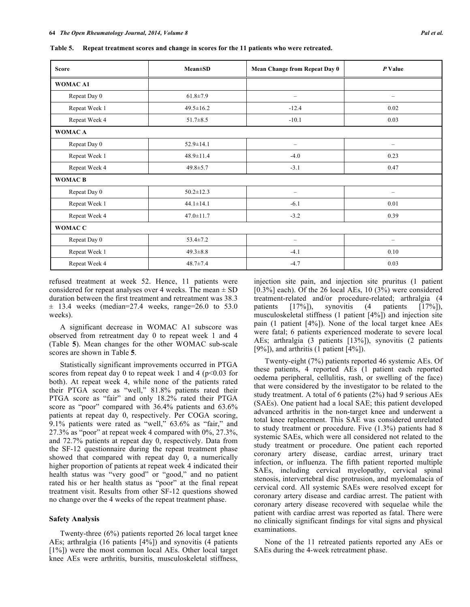**Table 5. Repeat treatment scores and change in scores for the 11 patients who were retreated.**

| <b>Score</b>   | $Mean \pm SD$   | <b>Mean Change from Repeat Day 0</b> | P Value                  |  |
|----------------|-----------------|--------------------------------------|--------------------------|--|
| WOMAC A1       |                 |                                      |                          |  |
| Repeat Day 0   | $61.8 \pm 7.9$  | $\overline{\phantom{0}}$             | -                        |  |
| Repeat Week 1  | $49.5 \pm 16.2$ | $-12.4$                              | 0.02                     |  |
| Repeat Week 4  | $51.7 \pm 8.5$  | $-10.1$                              | 0.03                     |  |
| WOMAC A        |                 |                                      |                          |  |
| Repeat Day 0   | $52.9 \pm 14.1$ |                                      | $\overline{\phantom{0}}$ |  |
| Repeat Week 1  | $48.9 \pm 11.4$ | $-4.0$                               | 0.23                     |  |
| Repeat Week 4  | $49.8 \pm 5.7$  | $-3.1$                               | 0.47                     |  |
| <b>WOMACB</b>  |                 |                                      |                          |  |
| Repeat Day 0   | $50.2 \pm 12.3$ | $\overline{\phantom{0}}$             | $\overline{\phantom{0}}$ |  |
| Repeat Week 1  | $44.1 \pm 14.1$ | $-6.1$                               | 0.01                     |  |
| Repeat Week 4  | $47.0 \pm 11.7$ | $-3.2$                               | 0.39                     |  |
| <b>WOMAC C</b> |                 |                                      |                          |  |
| Repeat Day 0   | $53.4 \pm 7.2$  | $\overline{\phantom{0}}$             | $\overline{\phantom{0}}$ |  |
| Repeat Week 1  | $49.3 \pm 8.8$  | $-4.1$                               | 0.10                     |  |
| Repeat Week 4  | $48.7 \pm 7.4$  | $-4.7$                               | 0.03                     |  |

refused treatment at week 52. Hence, 11 patients were considered for repeat analyses over 4 weeks. The mean  $\pm$  SD duration between the first treatment and retreatment was 38.3  $\pm$  13.4 weeks (median=27.4 weeks, range=26.0 to 53.0 weeks).

A significant decrease in WOMAC A1 subscore was observed from retreatment day 0 to repeat week 1 and 4 (Table **5**). Mean changes for the other WOMAC sub-scale scores are shown in Table **5**.

Statistically significant improvements occurred in PTGA scores from repeat day 0 to repeat week 1 and 4 ( $p$  < 0.03 for both). At repeat week 4, while none of the patients rated their PTGA score as "well," 81.8% patients rated their PTGA score as "fair" and only 18.2% rated their PTGA score as "poor" compared with 36.4% patients and 63.6% patients at repeat day 0, respectively. Per COGA scoring, 9.1% patients were rated as "well," 63.6% as "fair," and 27.3% as "poor" at repeat week 4 compared with 0%, 27.3%, and 72.7% patients at repeat day 0, respectively. Data from the SF-12 questionnaire during the repeat treatment phase showed that compared with repeat day 0, a numerically higher proportion of patients at repeat week 4 indicated their health status was "very good" or "good," and no patient rated his or her health status as "poor" at the final repeat treatment visit. Results from other SF-12 questions showed no change over the 4 weeks of the repeat treatment phase.

#### **Safety Analysis**

Twenty-three (6%) patients reported 26 local target knee AEs; arthralgia (16 patients [4%]) and synovitis (4 patients [1%]) were the most common local AEs. Other local target knee AEs were arthritis, bursitis, musculoskeletal stiffness,

injection site pain, and injection site pruritus (1 patient [0.3%] each). Of the 26 local AEs, 10 (3%) were considered treatment-related and/or procedure-related; arthralgia (4 patients [17%]), synovitis (4 patients [17%]), musculoskeletal stiffness (1 patient [4%]) and injection site pain (1 patient [4%]). None of the local target knee AEs were fatal; 6 patients experienced moderate to severe local AEs; arthralgia (3 patients [13%]), synovitis (2 patients [9%]), and arthritis  $(1$  patient  $[4\%]$ .

Twenty-eight (7%) patients reported 46 systemic AEs. Of these patients, 4 reported AEs (1 patient each reported oedema peripheral, cellulitis, rash, or swelling of the face) that were considered by the investigator to be related to the study treatment. A total of 6 patients (2%) had 9 serious AEs (SAEs). One patient had a local SAE; this patient developed advanced arthritis in the non-target knee and underwent a total knee replacement. This SAE was considered unrelated to study treatment or procedure. Five (1.3%) patients had 8 systemic SAEs, which were all considered not related to the study treatment or procedure. One patient each reported coronary artery disease, cardiac arrest, urinary tract infection, or influenza. The fifth patient reported multiple SAEs, including cervical myelopathy, cervical spinal stenosis, intervertebral disc protrusion, and myelomalacia of cervical cord. All systemic SAEs were resolved except for coronary artery disease and cardiac arrest. The patient with coronary artery disease recovered with sequelae while the patient with cardiac arrest was reported as fatal. There were no clinically significant findings for vital signs and physical examinations.

None of the 11 retreated patients reported any AEs or SAEs during the 4-week retreatment phase.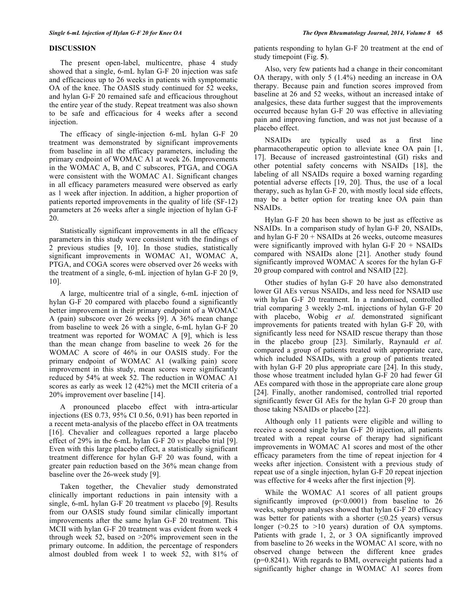The present open-label, multicentre, phase 4 study showed that a single, 6-mL hylan G-F 20 injection was safe and efficacious up to 26 weeks in patients with symptomatic OA of the knee. The OASIS study continued for 52 weeks, and hylan G-F 20 remained safe and efficacious throughout the entire year of the study. Repeat treatment was also shown to be safe and efficacious for 4 weeks after a second injection.

The efficacy of single-injection 6-mL hylan G-F 20 treatment was demonstrated by significant improvements from baseline in all the efficacy parameters, including the primary endpoint of WOMAC A1 at week 26. Improvements in the WOMAC A, B, and C subscores, PTGA, and COGA were consistent with the WOMAC A1. Significant changes in all efficacy parameters measured were observed as early as 1 week after injection. In addition, a higher proportion of patients reported improvements in the quality of life (SF-12) parameters at 26 weeks after a single injection of hylan G-F 20.

Statistically significant improvements in all the efficacy parameters in this study were consistent with the findings of 2 previous studies [9, 10]. In those studies, statistically significant improvements in WOMAC A1, WOMAC A, PTGA, and COGA scores were observed over 26 weeks with the treatment of a single, 6-mL injection of hylan G-F 20 [9, 10].

A large, multicentre trial of a single, 6-mL injection of hylan G-F 20 compared with placebo found a significantly better improvement in their primary endpoint of a WOMAC A (pain) subscore over 26 weeks [9]. A 36% mean change from baseline to week 26 with a single, 6-mL hylan G-F 20 treatment was reported for WOMAC A [9], which is less than the mean change from baseline to week 26 for the WOMAC A score of 46% in our OASIS study. For the primary endpoint of WOMAC A1 (walking pain) score improvement in this study, mean scores were significantly reduced by 54% at week 52. The reduction in WOMAC A1 scores as early as week 12 (42%) met the MCII criteria of a 20% improvement over baseline [14].

A pronounced placebo effect with intra-articular injections (ES 0.73, 95% CI 0.56, 0.91) has been reported in a recent meta-analysis of the placebo effect in OA treatments [16]. Chevalier and colleagues reported a large placebo effect of 29% in the 6-mL hylan G-F 20 *vs* placebo trial [9]. Even with this large placebo effect, a statistically significant treatment difference for hylan G-F 20 was found, with a greater pain reduction based on the 36% mean change from baseline over the 26-week study [9].

Taken together, the Chevalier study demonstrated clinically important reductions in pain intensity with a single, 6-mL hylan G-F 20 treatment *vs* placebo [9]. Results from our OASIS study found similar clinically important improvements after the same hylan G-F 20 treatment. This MCII with hylan G-F 20 treatment was evident from week 4 through week 52, based on >20% improvement seen in the primary outcome. In addition, the percentage of responders almost doubled from week 1 to week 52, with 81% of

patients responding to hylan G-F 20 treatment at the end of study timepoint (Fig. **5**).

Also, very few patients had a change in their concomitant OA therapy, with only 5 (1.4%) needing an increase in OA therapy. Because pain and function scores improved from baseline at 26 and 52 weeks, without an increased intake of analgesics, these data further suggest that the improvements occurred because hylan G-F 20 was effective in alleviating pain and improving function, and was not just because of a placebo effect.

NSAIDs are typically used as a first line pharmacotherapeutic option to alleviate knee OA pain [1, 17]. Because of increased gastrointestinal (GI) risks and other potential safety concerns with NSAIDs [18], the labeling of all NSAIDs require a boxed warning regarding potential adverse effects [19, 20]. Thus, the use of a local therapy, such as hylan G-F 20, with mostly local side effects, may be a better option for treating knee OA pain than NSAIDs.

Hylan G-F 20 has been shown to be just as effective as NSAIDs. In a comparison study of hylan G-F 20, NSAIDs, and hylan G-F 20 + NSAIDs at 26 weeks, outcome measures were significantly improved with hylan G-F  $20 +$  NSAIDs compared with NSAIDs alone [21]. Another study found significantly improved WOMAC A scores for the hylan G-F 20 group compared with control and NSAID [22].

Other studies of hylan G-F 20 have also demonstrated lower GI AEs versus NSAIDs, and less need for NSAID use with hylan G-F 20 treatment. In a randomised, controlled trial comparing 3 weekly 2-mL injections of hylan G-F 20 with placebo, Wobig *et al.* demonstrated significant improvements for patients treated with hylan G-F 20, with significantly less need for NSAID rescue therapy than those in the placebo group [23]. Similarly, Raynauld *et al.*  compared a group of patients treated with appropriate care, which included NSAIDs, with a group of patients treated with hylan G-F 20 plus appropriate care [24]. In this study, those whose treatment included hylan G-F 20 had fewer GI AEs compared with those in the appropriate care alone group [24]. Finally, another randomised, controlled trial reported significantly fewer GI AEs for the hylan G-F 20 group than those taking NSAIDs or placebo [22].

Although only 11 patients were eligible and willing to receive a second single hylan G-F 20 injection, all patients treated with a repeat course of therapy had significant improvements in WOMAC A1 scores and most of the other efficacy parameters from the time of repeat injection for 4 weeks after injection. Consistent with a previous study of repeat use of a single injection, hylan G-F 20 repeat injection was effective for 4 weeks after the first injection [9].

While the WOMAC A1 scores of all patient groups significantly improved  $(p<0.0001)$  from baseline to 26 weeks, subgroup analyses showed that hylan G-F 20 efficacy was better for patients with a shorter  $(≤0.25$  years) versus longer (>0.25 to >10 years) duration of OA symptoms. Patients with grade 1, 2, or 3 OA significantly improved from baseline to 26 weeks in the WOMAC A1 score, with no observed change between the different knee grades (p=0.8241). With regards to BMI, overweight patients had a significantly higher change in WOMAC A1 scores from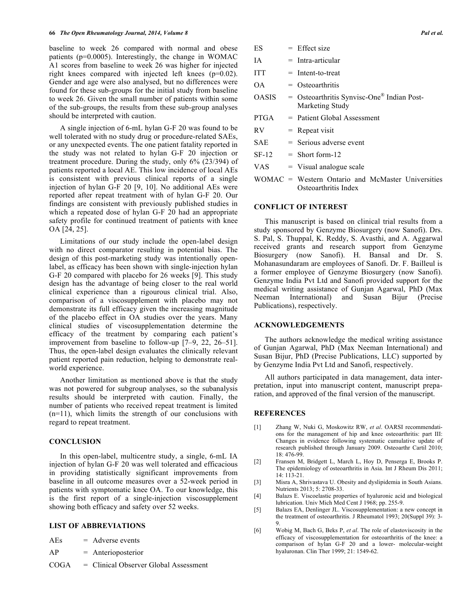baseline to week 26 compared with normal and obese patients (p=0.0005). Interestingly, the change in WOMAC A1 scores from baseline to week 26 was higher for injected right knees compared with injected left knees (p=0.02). Gender and age were also analysed, but no differences were found for these sub-groups for the initial study from baseline to week 26. Given the small number of patients within some of the sub-groups, the results from these sub-group analyses should be interpreted with caution.

A single injection of 6-mL hylan G-F 20 was found to be well tolerated with no study drug or procedure-related SAEs, or any unexpected events. The one patient fatality reported in the study was not related to hylan G-F 20 injection or treatment procedure. During the study, only 6% (23/394) of patients reported a local AE. This low incidence of local AEs is consistent with previous clinical reports of a single injection of hylan G-F 20 [9, 10]. No additional AEs were reported after repeat treatment with of hylan G-F 20. Our findings are consistent with previously published studies in which a repeated dose of hylan G-F 20 had an appropriate safety profile for continued treatment of patients with knee OA [24, 25].

Limitations of our study include the open-label design with no direct comparator resulting in potential bias. The design of this post-marketing study was intentionally openlabel, as efficacy has been shown with single-injection hylan G-F 20 compared with placebo for 26 weeks [9]. This study design has the advantage of being closer to the real world clinical experience than a rigourous clinical trial. Also, comparison of a viscosupplement with placebo may not demonstrate its full efficacy given the increasing magnitude of the placebo effect in OA studies over the years. Many clinical studies of viscosupplementation determine the efficacy of the treatment by comparing each patient's improvement from baseline to follow-up [7–9, 22, 26–51]. Thus, the open-label design evaluates the clinically relevant patient reported pain reduction, helping to demonstrate realworld experience.

Another limitation as mentioned above is that the study was not powered for subgroup analyses, so the subanalysis results should be interpreted with caution. Finally, the number of patients who received repeat treatment is limited (n=11), which limits the strength of our conclusions with regard to repeat treatment.

#### **CONCLUSION**

In this open-label, multicentre study, a single, 6-mL IA injection of hylan G-F 20 was well tolerated and efficacious in providing statistically significant improvements from baseline in all outcome measures over a 52-week period in patients with symptomatic knee OA. To our knowledge, this is the first report of a single-injection viscosupplement showing both efficacy and safety over 52 weeks.

#### **LIST OF ABBREVIATIONS**

| Adverse events |
|----------------|
|                |

AP = Anterioposterior

COGA = Clinical Observer Global Assessment

| ES           | $=$ Effect size                                                           |
|--------------|---------------------------------------------------------------------------|
| ΙA           | $=$ Intra-articular                                                       |
| <b>ITT</b>   | $=$ Intent-to-treat                                                       |
| OΑ           | $=$ Osteoarthritis                                                        |
| <b>OASIS</b> | = Osteoarthritis Synvisc-One <sup>®</sup> Indian Post-<br>Marketing Study |
| <b>PTGA</b>  | $=$ Patient Global Assessment                                             |
| <b>RV</b>    | $=$ Repeat visit                                                          |
| <b>SAE</b>   | $=$ Serious adverse event                                                 |
| $SF-12$      | $=$ Short form-12                                                         |
| VAS          | $=$ Visual analogue scale                                                 |
|              | WOMAC = Western Ontario and McMaster Universities                         |

Osteoarthritis Index

#### **CONFLICT OF INTEREST**

This manuscript is based on clinical trial results from a study sponsored by Genzyme Biosurgery (now Sanofi). Drs. S. Pal, S. Thuppal, K. Reddy, S. Avasthi, and A. Aggarwal received grants and research support from Genzyme Biosurgery (now Sanofi). H. Bansal and Dr. S. Mohanasundaram are employees of Sanofi. Dr. F. Bailleul is a former employee of Genzyme Biosurgery (now Sanofi). Genzyme India Pvt Ltd and Sanofi provided support for the medical writing assistance of Gunjan Agarwal, PhD (Max Neeman International) and Susan Bijur (Precise Publications), respectively.

#### **ACKNOWLEDGEMENTS**

The authors acknowledge the medical writing assistance of Gunjan Agarwal, PhD (Max Neeman International) and Susan Bijur, PhD (Precise Publications, LLC) supported by by Genzyme India Pvt Ltd and Sanofi, respectively.

All authors participated in data management, data interpretation, input into manuscript content, manuscript preparation, and approved of the final version of the manuscript.

#### **REFERENCES**

- [1] Zhang W, Nuki G, Moskowitz RW, *et al*. OARSI recommendations for the management of hip and knee osteoarthritis: part III: Changes in evidence following systematic cumulative update of research published through January 2009. Osteoarthr Cartil 2010; 18: 476-99.
- [2] Fransen M, Bridgett L, March L, Hoy D, Penserga E, Brooks P. The epidemiology of osteoarthritis in Asia. Int J Rheum Dis 2011; 14: 113-21.
- [3] Misra A, Shrivastava U. Obesity and dyslipidemia in South Asians. Nutrients 2013; 5: 2708-33.
- [4] Balazs E. Viscoelastic properties of hyaluronic acid and biological lubrication. Univ Mich Med Cent J 1968; pp. 255-9.
- [5] Balazs EA, Denlinger JL. Viscosupplementation: a new concept in the treatment of osteoarthritis. J Rheumatol 1993; 20(Suppl 39): 3- 9.
- [6] Wobig M, Bach G, Beks P, *et al*. The role of elastoviscosity in the efficacy of viscosupplementation for osteoarthritis of the knee: a comparison of hylan G-F 20 and a lower- molecular-weight hyaluronan. Clin Ther 1999; 21: 1549-62.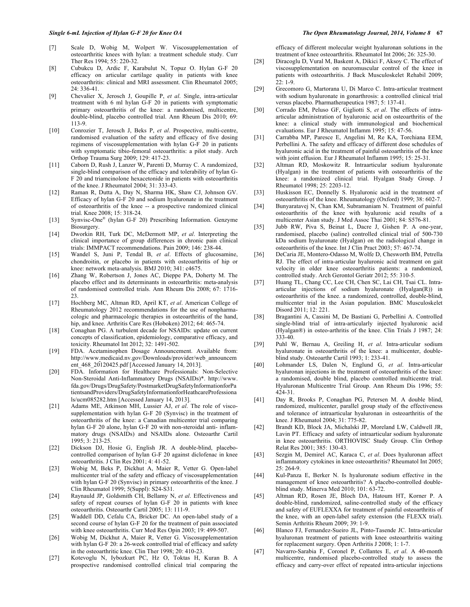- [7] Scale D, Wobig M, Wolpert W. Viscosupplementation of osteoarthritic knees with hylan: a treatment schedule study. Curr Ther Res 1994; 55: 220-32.
- [8] Cubukcu D, Ardic F, Karabulut N, Topuz O. Hylan G-F 20 efficacy on articular cartilage quality in patients with knee osteoarthritis: clinical and MRI assessment. Clin Rheumatol 2005; 24: 336-41.
- [9] Chevalier X, Jerosch J, Goupille P, *et al*. Single, intra-articular treatment with 6 ml hylan G-F 20 in patients with symptomatic primary osteoarthritis of the knee: a randomised, multicentre, double-blind, placebo controlled trial. Ann Rheum Dis 2010; 69: 113-9.
- [10] Conrozier T, Jerosch J, Beks P, *et al*. Prospective, multi-centre, randomised evaluation of the safety and efficacy of five dosing regimens of viscosupplementation with hylan G-F 20 in patients with symptomatic tibio-femoral osteoarthritis: a pilot study. Arch Orthop Trauma Surg 2009; 129: 417-23.
- [11] Caborn D, Rush J, Lanzer W, Parenti D, Murray C. A randomized, single-blind comparison of the efficacy and tolerability of hylan G-F 20 and triamcinolone hexacetonide in patients with osteoarthritis of the knee. J Rheumatol 2004; 31: 333-43.
- [12] Raman R, Dutta A, Day N, Sharma HK, Shaw CJ, Johnson GV. Efficacy of hylan G-F 20 and sodium hyaluronate in the treatment of osteoarthritis of the knee -- a prospective randomized clinical trial. Knee 2008; 15: 318-24.
- [13] Synvisc-One® (hylan G-F 20) Prescribing Information. Genzyme Biosurgery.
- [14] Dworkin RH, Turk DC, McDermott MP, *et al*. Interpreting the clinical importance of group differences in chronic pain clinical trials: IMMPACT recommendations. Pain 2009; 146: 238-44.
- [15] Wandel S, Juni P, Tendal B, *et al*. Effects of glucosamine, chondroitin, or placebo in patients with osteoarthritis of hip or knee: network meta-analysis. BMJ 2010; 341: c4675.
- [16] Zhang W, Robertson J, Jones AC, Dieppe PA, Doherty M. The placebo effect and its determinants in osteoarthritis: meta-analysis of randomised controlled trials. Ann Rheum Dis 2008; 67: 1716- 23.
- [17] Hochberg MC, Altman RD, April KT, *et al*. American College of Rheumatology 2012 recommendations for the use of nonpharmacologic and pharmacologic therapies in osteoarthritis of the hand, hip, and knee. Arthritis Care Res (Hoboken) 2012; 64: 465-74.
- [18] Conaghan PG. A turbulent decade for NSAIDs: update on current concepts of classification, epidemiology, comparative efficacy, and toxicity. Rheumatol Int 2012; 32: 1491-502.
- [19] FDA. Acetaminophen Dosage Announcement. Available from: http://www.medicaid.nv.gov/Downloads/provider/web\_announcem ent\_468\_20120425.pdf [Accessed January 14, 2013].
- [20] FDA. Information for Healthcare Professionals: Non-Selective Non-Steroidal Anti-Inflammatory Drugs (NSAIDs)\*. http://www. fda.gov/Drugs/DrugSafety/PostmarketDrugSafetyInformationforPa tientsandProviders/DrugSafetyInformationforHeathcareProfessiona ls/ucm085282.htm [Accessed January 14, 2013].
- [21] Adams ME, Atkinson MH, Lussier AJ, *et al*. The role of viscosupplementation with hylan G-F 20 (Synvisc) in the treatment of osteoarthritis of the knee: a Canadian multicenter trial comparing hylan G-F 20 alone, hylan G-F 20 with non-steroidal anti- inflammatory drugs (NSAIDs) and NSAIDs alone. Osteoarthr Cartil 1995; 3: 213-25.
- [22] Dickson DJ, Hosie G, English JR. A double-blind, placebocontrolled comparison of hylan G-F 20 against diclofenac in knee osteoarthritis. J Clin Res 2001; 4: 41-52.
- [23] Wobig M, Beks P, Dickhut A, Maier R, Vetter G. Open-label multicenter trial of the safety and efficacy of viscosupplementation with hylan G-F 20 (Synvisc) in primary osteoarthritis of the knee. J Clin Rheumatol 1999; 5(Suppl): S24-S31.
- [24] Raynauld JP, Goldsmith CH, Bellamy N, *et al*. Effectiveness and safety of repeat courses of hylan G-F 20 in patients with knee osteoarthritis. Osteoarthr Cartil 2005; 13: 111-9.
- [25] Waddell DD, Cefalu CA, Bricker DC. An open-label study of a second course of hylan G-F 20 for the treatment of pain associated with knee osteoarthritis. Curr Med Res Opin 2003; 19: 499-507.
- [26] Wobig M, Dickhut A, Maier R, Vetter G. Viscosupplementation with hylan G-F 20: a 26-week controlled trial of efficacy and safety in the osteoarthritic knee. Clin Ther 1998; 20: 410-23.
- [27] Kotevoglu N, Iybozkurt PC, Hz O, Toktas H, Kuran B. A prospective randomised controlled clinical trial comparing the

#### *Single 6-mL Injection of Hylan G-F 20 for Knee OA The Open Rheumatology Journal, 2014, Volume 8* **67**

efficacy of different molecular weight hyaluronan solutions in the treatment of knee osteoarthritis. Rheumatol Int 2006; 26: 325-30.

- [28] Diracoglu D, Vural M, Baskent A, Dikici F, Aksoy C. The effect of viscosupplementation on neuromuscular control of the knee in patients with osteoarthritis. J Back Musculoskelet Rehabil 2009;  $22 \cdot 1 - 9$
- [29] Grecomoro G, Martorana U, Di Marco C. Intra-articular treatment with sodium hyaluronate in gonarthrosis: a controlled clinical trial versus placebo. Pharmatherapeutica 1987; 5: 137-41.
- [30] Corrado EM, Peluso GF, Gigliotti S, *et al*. The effects of intraarticular administration of hyaluronic acid on osteoarthritis of the knee: a clinical study with immunological and biochemical evaluations. Eur J Rheumatol Inflamm 1995; 15: 47-56.
- [31] Carrabba MP, Paresce E, Angelini M, Re KA, Torchiana EEM, Perbellini A. The safety and efficacy of different dose schedules of hyaluronic acid in the treatment of painful osteoarthritis of the knee with joint effusion. Eur J Rheumatol Inflamm 1995; 15: 25-31.
- [32] Altman RD, Moskowitz R. Intraarticular sodium hyaluronate (Hyalgan) in the treatment of patients with osteoarthritis of the knee: a randomized clinical trial. Hyalgan Study Group. J Rheumatol 1998; 25: 2203-12.
- [33] Huskisson EC, Donnelly S. Hyaluronic acid in the treatment of osteoarthritis of the knee. Rheumatology (Oxford) 1999; 38: 602-7.
- [34] Bunyaratavej N, Chan KM, Subramaniam N. Treatment of painful osteoarthritis of the knee with hyaluronic acid results of a multicenter Asian study. J Med Assoc Thai 2001; 84: S576-81.
- [35] Jubb RW, Piva S, Beinat L, Dacre J, Gishen P. A one-year, randomised, placebo (saline) controlled clinical trial of 500-730 kDa sodium hyaluronate (Hyalgan) on the radiological change in osteoarthritis of the knee. Int J Clin Pract 2003; 57: 467-74.
- [36] DeCaria JE, Montero-Odasso M, Wolfe D, Chesworth BM, Petrella RJ. The effect of intra-articular hyaluronic acid treatment on gait velocity in older knee osteoarthritis patients: a randomized, controlled study. Arch Gerontol Geriatr 2012; 55: 310-5.
- [37] Huang TL, Chang CC, Lee CH, Chen SC, Lai CH, Tsai CL. Intraarticular injections of sodium hyaluronate (Hyalgan(R)) in osteoarthritis of the knee. a randomized, controlled, double-blind, multicenter trial in the Asian population. BMC Musculoskelet Disord 2011; 12: 221.
- [38] Bragantini A, Cassini M, De Bastiani G, Perbellini A. Controlled single-blind trial of intra-articularly injected hyaluronic acid (Hyalgan®) in osteo-arthritis of the knee. Clin Trials J 1987; 24: 333-40.
- [39] Puhl W, Bernau A, Greiling H, *et al*. Intra-articular sodium hyaluronate in osteoarthritis of the knee: a multicenter, doubleblind study. Osteoarthr Cartil 1993; 1: 233-41.
- [40] Lohmander LS, Dalen N, Englund G, *et al*. Intra-articular hyaluronan injections in the treatment of osteoarthritis of the knee: a randomised, double blind, placebo controlled multicentre trial. Hyaluronan Multicentre Trial Group. Ann Rheum Dis 1996; 55: 424-31.
- [41] Day R, Brooks P, Conaghan PG, Petersen M. A double blind, randomized, multicenter, parallel group study of the effectiveness and tolerance of intraarticular hyaluronan in osteoarthritis of the knee. J Rheumatol 2004; 31: 775-82.
- [42] Brandt KD, Block JA, Michalski JP, Moreland LW, Caldwell JR, Lavin PT. Efficacy and safety of intraarticular sodium hyaluronate in knee osteoarthritis. ORTHOVISC Study Group. Clin Orthop Relat Res 2001; 385: 130-43.
- [43] Sezgin M, Demirel AC, Karaca C, *et al*. Does hyaluronan affect inflammatory cytokines in knee osteoarthritis? Rheumatol Int 2005;  $25.264-9$
- [44] Kul-Panza E, Berker N. Is hyaluronate sodium effective in the management of knee osteoarthritis? A placebo-controlled doubleblind study. Minerva Med 2010; 101: 63-72.
- [45] Altman RD, Rosen JE, Bloch DA, Hatoum HT, Korner P. A double-blind, randomized, saline-controlled study of the efficacy and safety of EUFLEXXA for treatment of painful osteoarthritis of the knee, with an open-label safety extension (the FLEXX trial). Semin Arthritis Rheum 2009; 39: 1-9.
- [46] Blanco FJ, Fernandez-Sueiro JL, Pinto-Tasende JC. Intra-articular hyaluronan treatment of patients with knee osteoarthritis waiting for replacement surgery. Open Arthritis J 2008; 1: 1-7.
- [47] Navarro-Sarabia F, Coronel P, Collantes E, *et al*. A 40-month multicentre, randomised placebo-controlled study to assess the efficacy and carry-over effect of repeated intra-articular injections